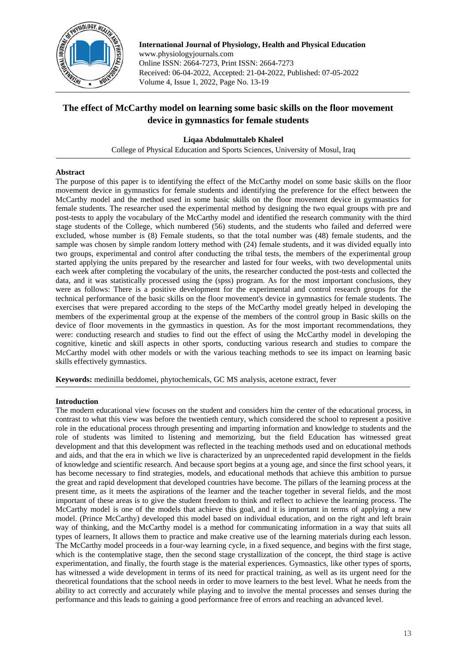

**International Journal of Physiology, Health and Physical Education** www.physiologyjournals.com Online ISSN: 2664-7273, Print ISSN: 2664-7273 Received: 06-04-2022, Accepted: 21-04-2022, Published: 07-05-2022 Volume 4, Issue 1, 2022, Page No. 13-19

# **The effect of McCarthy model on learning some basic skills on the floor movement device in gymnastics for female students**

## **Liqaa Abdulmuttaleb Khaleel**

College of Physical Education and Sports Sciences, University of Mosul, Iraq

### **Abstract**

The purpose of this paper is to identifying the effect of the McCarthy model on some basic skills on the floor movement device in gymnastics for female students and identifying the preference for the effect between the McCarthy model and the method used in some basic skills on the floor movement device in gymnastics for female students. The researcher used the experimental method by designing the two equal groups with pre and post-tests to apply the vocabulary of the McCarthy model and identified the research community with the third stage students of the College, which numbered (56) students, and the students who failed and deferred were excluded, whose number is (8) Female students, so that the total number was (48) female students, and the sample was chosen by simple random lottery method with (24) female students, and it was divided equally into two groups, experimental and control after conducting the tribal tests, the members of the experimental group started applying the units prepared by the researcher and lasted for four weeks, with two developmental units each week after completing the vocabulary of the units, the researcher conducted the post-tests and collected the data, and it was statistically processed using the (spss) program. As for the most important conclusions, they were as follows: There is a positive development for the experimental and control research groups for the technical performance of the basic skills on the floor movement's device in gymnastics for female students. The exercises that were prepared according to the steps of the McCarthy model greatly helped in developing the members of the experimental group at the expense of the members of the control group in Basic skills on the device of floor movements in the gymnastics in question. As for the most important recommendations, they were: conducting research and studies to find out the effect of using the McCarthy model in developing the cognitive, kinetic and skill aspects in other sports, conducting various research and studies to compare the McCarthy model with other models or with the various teaching methods to see its impact on learning basic skills effectively gymnastics.

**Keywords:** medinilla beddomei, phytochemicals, GC MS analysis, acetone extract, fever

### **Introduction**

The modern educational view focuses on the student and considers him the center of the educational process, in contrast to what this view was before the twentieth century, which considered the school to represent a positive role in the educational process through presenting and imparting information and knowledge to students and the role of students was limited to listening and memorizing, but the field Education has witnessed great development and that this development was reflected in the teaching methods used and on educational methods and aids, and that the era in which we live is characterized by an unprecedented rapid development in the fields of knowledge and scientific research. And because sport begins at a young age, and since the first school years, it has become necessary to find strategies, models, and educational methods that achieve this ambition to pursue the great and rapid development that developed countries have become. The pillars of the learning process at the present time, as it meets the aspirations of the learner and the teacher together in several fields, and the most important of these areas is to give the student freedom to think and reflect to achieve the learning process. The McCarthy model is one of the models that achieve this goal, and it is important in terms of applying a new model. (Prince McCarthy) developed this model based on individual education, and on the right and left brain way of thinking, and the McCarthy model is a method for communicating information in a way that suits all types of learners, It allows them to practice and make creative use of the learning materials during each lesson. The McCarthy model proceeds in a four-way learning cycle, in a fixed sequence, and begins with the first stage, which is the contemplative stage, then the second stage crystallization of the concept, the third stage is active experimentation, and finally, the fourth stage is the material experiences. Gymnastics, like other types of sports, has witnessed a wide development in terms of its need for practical training, as well as its urgent need for the theoretical foundations that the school needs in order to move learners to the best level. What he needs from the ability to act correctly and accurately while playing and to involve the mental processes and senses during the performance and this leads to gaining a good performance free of errors and reaching an advanced level.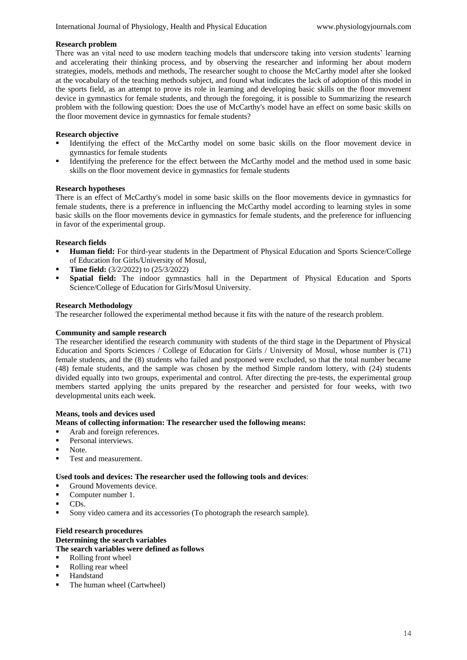### **Research problem**

There was an vital need to use modern teaching models that underscore taking into version students' learning and accelerating their thinking process, and by observing the researcher and informing her about modern strategies, models, methods and methods, The researcher sought to choose the McCarthy model after she looked at the vocabulary of the teaching methods subject, and found what indicates the lack of adoption of this model in the sports field, as an attempt to prove its role in learning and developing basic skills on the floor movement device in gymnastics for female students, and through the foregoing, it is possible to Summarizing the research problem with the following question: Does the use of McCarthy's model have an effect on some basic skills on the floor movement device in gymnastics for female students?

### **Research objective**

- Identifying the effect of the McCarthy model on some basic skills on the floor movement device in gymnastics for female students
- Identifying the preference for the effect between the McCarthy model and the method used in some basic skills on the floor movement device in gymnastics for female students

#### **Research hypotheses**

There is an effect of McCarthy's model in some basic skills on the floor movements device in gymnastics for female students, there is a preference in influencing the McCarthy model according to learning styles in some basic skills on the floor movements device in gymnastics for female students, and the preference for influencing in favor of the experimental group.

### **Research fields**

- **Human field:** For third-year students in the Department of Physical Education and Sports Science/College of Education for Girls/University of Mosul,
- **Time field:** (3/2/2022) to (25/3/2022)
- **Spatial field:** The indoor gymnastics hall in the Department of Physical Education and Sports Science/College of Education for Girls/Mosul University.

#### **Research Methodology**

The researcher followed the experimental method because it fits with the nature of the research problem.

#### **Community and sample research**

The researcher identified the research community with students of the third stage in the Department of Physical Education and Sports Sciences / College of Education for Girls / University of Mosul, whose number is (71) female students, and the (8) students who failed and postponed were excluded, so that the total number became (48) female students, and the sample was chosen by the method Simple random lottery, with (24) students divided equally into two groups, experimental and control. After directing the pre-tests, the experimental group members started applying the units prepared by the researcher and persisted for four weeks, with two developmental units each week.

### **Means, tools and devices used**

#### **Means of collecting information: The researcher used the following means:**

- Arab and foreign references.
- Personal interviews.
- **Note**
- Test and measurement.

#### **Used tools and devices: The researcher used the following tools and devices**:

- Ground Movements device.
- Computer number 1.
- CDs.
- Sony video camera and its accessories (To photograph the research sample).

### **Field research procedures Determining the search variables The search variables were defined as follows**

- Rolling front wheel
- Rolling rear wheel
- Handstand
- The human wheel (Cartwheel)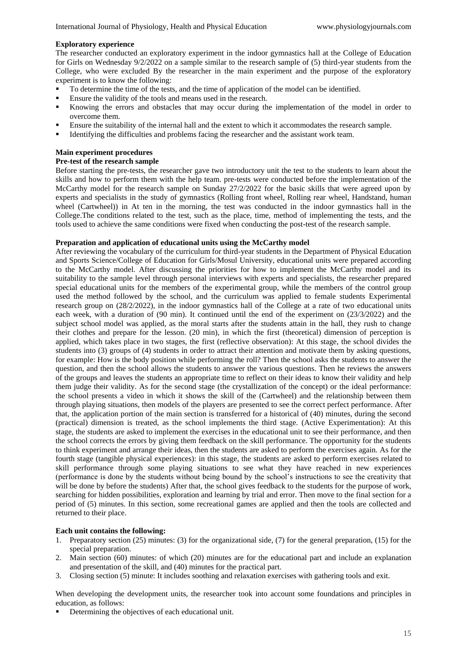#### **Exploratory experience**

The researcher conducted an exploratory experiment in the indoor gymnastics hall at the College of Education for Girls on Wednesday 9/2/2022 on a sample similar to the research sample of (5) third-year students from the College, who were excluded By the researcher in the main experiment and the purpose of the exploratory experiment is to know the following:

- To determine the time of the tests, and the time of application of the model can be identified.
- Ensure the validity of the tools and means used in the research.
- Knowing the errors and obstacles that may occur during the implementation of the model in order to overcome them.
- Ensure the suitability of the internal hall and the extent to which it accommodates the research sample.
- Identifying the difficulties and problems facing the researcher and the assistant work team.

### **Main experiment procedures**

#### **Pre-test of the research sample**

Before starting the pre-tests, the researcher gave two introductory unit the test to the students to learn about the skills and how to perform them with the help team. pre-tests were conducted before the implementation of the McCarthy model for the research sample on Sunday 27/2/2022 for the basic skills that were agreed upon by experts and specialists in the study of gymnastics (Rolling front wheel, Rolling rear wheel, Handstand, human wheel (Cartwheel)) in At ten in the morning, the test was conducted in the indoor gymnastics hall in the College.The conditions related to the test, such as the place, time, method of implementing the tests, and the tools used to achieve the same conditions were fixed when conducting the post-test of the research sample.

#### **Preparation and application of educational units using the McCarthy model**

After reviewing the vocabulary of the curriculum for third-year students in the Department of Physical Education and Sports Science/College of Education for Girls/Mosul University, educational units were prepared according to the McCarthy model. After discussing the priorities for how to implement the McCarthy model and its suitability to the sample level through personal interviews with experts and specialists, the researcher prepared special educational units for the members of the experimental group, while the members of the control group used the method followed by the school, and the curriculum was applied to female students Experimental research group on (28/2/2022), in the indoor gymnastics hall of the College at a rate of two educational units each week, with a duration of (90 min). It continued until the end of the experiment on (23/3/2022) and the subject school model was applied, as the moral starts after the students attain in the hall, they rush to change their clothes and prepare for the lesson. (20 min), in which the first (theoretical) dimension of perception is applied, which takes place in two stages, the first (reflective observation): At this stage, the school divides the students into (3) groups of (4) students in order to attract their attention and motivate them by asking questions, for example: How is the body position while performing the roll? Then the school asks the students to answer the question, and then the school allows the students to answer the various questions. Then he reviews the answers of the groups and leaves the students an appropriate time to reflect on their ideas to know their validity and help them judge their validity. As for the second stage (the crystallization of the concept) or the ideal performance: the school presents a video in which it shows the skill of the (Cartwheel) and the relationship between them through playing situations, then models of the players are presented to see the correct perfect performance. After that, the application portion of the main section is transferred for a historical of (40) minutes, during the second (practical) dimension is treated, as the school implements the third stage. (Active Experimentation): At this stage, the students are asked to implement the exercises in the educational unit to see their performance, and then the school corrects the errors by giving them feedback on the skill performance. The opportunity for the students to think experiment and arrange their ideas, then the students are asked to perform the exercises again. As for the fourth stage (tangible physical experiences): in this stage, the students are asked to perform exercises related to skill performance through some playing situations to see what they have reached in new experiences (performance is done by the students without being bound by the school's instructions to see the creativity that will be done by before the students) After that, the school gives feedback to the students for the purpose of work, searching for hidden possibilities, exploration and learning by trial and error. Then move to the final section for a period of (5) minutes. In this section, some recreational games are applied and then the tools are collected and returned to their place.

### **Each unit contains the following:**

- 1. Preparatory section (25) minutes: (3) for the organizational side, (7) for the general preparation, (15) for the special preparation.
- 2. Main section (60) minutes: of which (20) minutes are for the educational part and include an explanation and presentation of the skill, and (40) minutes for the practical part.
- 3. Closing section (5) minute: It includes soothing and relaxation exercises with gathering tools and exit.

When developing the development units, the researcher took into account some foundations and principles in education, as follows:

Determining the objectives of each educational unit.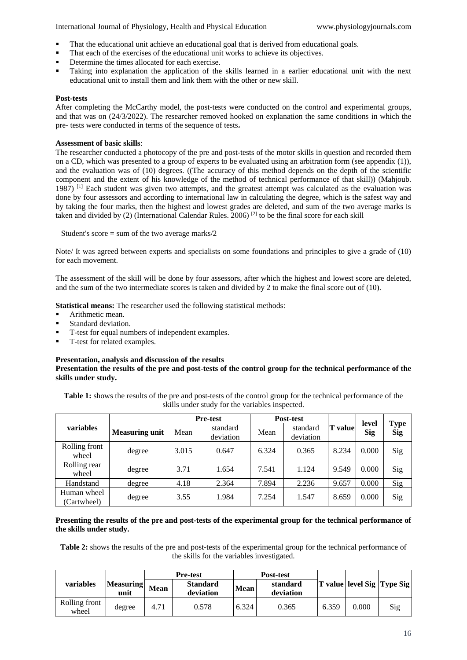International Journal of Physiology, Health and Physical Education www.physiologyjournals.com

- That the educational unit achieve an educational goal that is derived from educational goals.
- That each of the exercises of the educational unit works to achieve its objectives.
- Determine the times allocated for each exercise.
- Taking into explanation the application of the skills learned in a earlier educational unit with the next educational unit to install them and link them with the other or new skill.

### **Post-tests**

After completing the McCarthy model, the post-tests were conducted on the control and experimental groups, and that was on (24/3/2022). The researcher removed hooked on explanation the same conditions in which the pre- tests were conducted in terms of the sequence of tests**.**

### **Assessment of basic skills**:

The researcher conducted a photocopy of the pre and post-tests of the motor skills in question and recorded them on a CD, which was presented to a group of experts to be evaluated using an arbitration form (see appendix (1)), and the evaluation was of (10) degrees. ((The accuracy of this method depends on the depth of the scientific component and the extent of his knowledge of the method of technical performance of that skill)) (Mahjoub. 1987)  $^{[1]}$  Each student was given two attempts, and the greatest attempt was calculated as the evaluation was done by four assessors and according to international law in calculating the degree, which is the safest way and by taking the four marks, then the highest and lowest grades are deleted, and sum of the two average marks is taken and divided by (2) (International Calendar Rules. 2006) [2] to be the final score for each skill

Student's score  $=$  sum of the two average marks/2

Note/ It was agreed between experts and specialists on some foundations and principles to give a grade of (10) for each movement.

The assessment of the skill will be done by four assessors, after which the highest and lowest score are deleted, and the sum of the two intermediate scores is taken and divided by 2 to make the final score out of (10).

**Statistical means:** The researcher used the following statistical methods:

- Arithmetic mean.
- Standard deviation.
- T-test for equal numbers of independent examples.
- T-test for related examples.

### **Presentation, analysis and discussion of the results**

### **Presentation the results of the pre and post-tests of the control group for the technical performance of the skills under study.**

**Table 1:** shows the results of the pre and post-tests of the control group for the technical performance of the skills under study for the variables inspected.

|                            |                       | <b>Pre-test</b> |                       | Post-test |                       |                              | level |                           |  |
|----------------------------|-----------------------|-----------------|-----------------------|-----------|-----------------------|------------------------------|-------|---------------------------|--|
| variables                  | <b>Measuring unit</b> | Mean            | standard<br>deviation | Mean      | standard<br>deviation | <b>T</b> value<br><b>Sig</b> |       | <b>Type</b><br><b>Sig</b> |  |
| Rolling front<br>wheel     | degree                | 3.015           | 0.647                 | 6.324     | 0.365                 | 8.234                        | 0.000 | Sig                       |  |
| Rolling rear<br>wheel      | degree                | 3.71            | 1.654                 | 7.541     | 1.124                 | 9.549                        | 0.000 | Sig                       |  |
| Handstand                  | degree                | 4.18            | 2.364                 | 7.894     | 2.236                 | 9.657                        | 0.000 | Sig                       |  |
| Human wheel<br>(Cartwheel) | degree                | 3.55            | 1.984                 | 7.254     | 1.547                 | 8.659                        | 0.000 | Sig                       |  |

### **Presenting the results of the pre and post-tests of the experimental group for the technical performance of the skills under study.**

**Table 2:** shows the results of the pre and post-tests of the experimental group for the technical performance of the skills for the variables investigated.

|                        |                          |      | <b>Pre-test</b>              |             | Post-test             |       |       |                            |
|------------------------|--------------------------|------|------------------------------|-------------|-----------------------|-------|-------|----------------------------|
| variables              | <b>Measuring</b><br>unit | Mean | <b>Standard</b><br>deviation | <b>Mean</b> | standard<br>deviation |       |       | T value level Sig Type Sig |
| Rolling front<br>wheel | degree                   | 4.71 | 0.578                        | 6.324       | 0.365                 | 6.359 | 0.000 | Sig                        |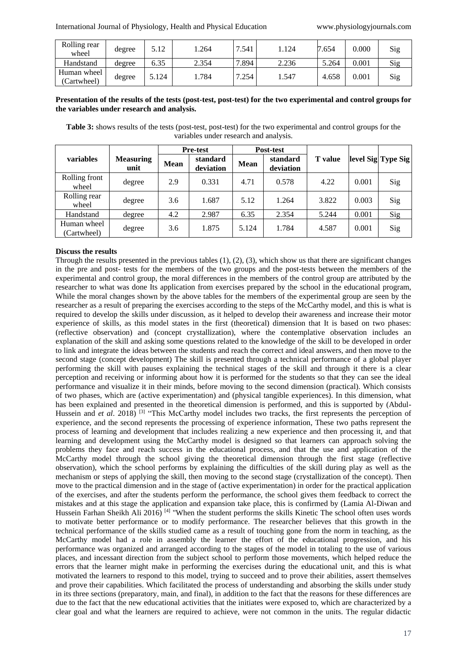| Rolling rear<br>wheel      | degree | 5.12  | .264  | 7.541     | .124  | 7.654 | 0.000     | Sig |
|----------------------------|--------|-------|-------|-----------|-------|-------|-----------|-----|
| Handstand                  | degree | 6.35  | 2.354 | .894<br>⇁ | 2.236 | 5.264 | $0.001\,$ | Sig |
| Human wheel<br>(Cartwheel) | degree | 5.124 | .784  | 7.254     | .547  | 4.658 | $0.001\,$ | Sig |

### **Presentation of the results of the tests (post-test, post-test) for the two experimental and control groups for the variables under research and analysis.**

**Table 3:** shows results of the tests (post-test, post-test) for the two experimental and control groups for the variables under research and analysis.

|                            |                          | <b>Pre-test</b> |                       |             | Post-test             |                |       |                    |
|----------------------------|--------------------------|-----------------|-----------------------|-------------|-----------------------|----------------|-------|--------------------|
| variables                  | <b>Measuring</b><br>unit | <b>Mean</b>     | standard<br>deviation | <b>Mean</b> | standard<br>deviation | <b>T</b> value |       | level Sig Type Sig |
| Rolling front<br>wheel     | degree                   | 2.9             | 0.331                 | 4.71        | 0.578                 | 4.22           | 0.001 | Sig                |
| Rolling rear<br>wheel      | degree                   | 3.6             | 1.687                 | 5.12        | 1.264                 | 3.822          | 0.003 | Sig                |
| Handstand                  | degree                   | 4.2             | 2.987                 | 6.35        | 2.354                 | 5.244          | 0.001 | Sig                |
| Human wheel<br>(Cartwheel) | degree                   | 3.6             | 1.875                 | 5.124       | 1.784                 | 4.587          | 0.001 | Sig                |

#### **Discuss the results**

Through the results presented in the previous tables  $(1)$ ,  $(2)$ ,  $(3)$ , which show us that there are significant changes in the pre and post- tests for the members of the two groups and the post-tests between the members of the experimental and control group, the moral differences in the members of the control group are attributed by the researcher to what was done Its application from exercises prepared by the school in the educational program, While the moral changes shown by the above tables for the members of the experimental group are seen by the researcher as a result of preparing the exercises according to the steps of the McCarthy model, and this is what is required to develop the skills under discussion, as it helped to develop their awareness and increase their motor experience of skills, as this model states in the first (theoretical) dimension that It is based on two phases: (reflective observation) and (concept crystallization), where the contemplative observation includes an explanation of the skill and asking some questions related to the knowledge of the skill to be developed in order to link and integrate the ideas between the students and reach the correct and ideal answers, and then move to the second stage (concept development) The skill is presented through a technical performance of a global player performing the skill with pauses explaining the technical stages of the skill and through it there is a clear perception and receiving or informing about how it is performed for the students so that they can see the ideal performance and visualize it in their minds, before moving to the second dimension (practical). Which consists of two phases, which are (active experimentation) and (physical tangible experiences). In this dimension, what has been explained and presented in the theoretical dimension is performed, and this is supported by (Abdul-Hussein and *et al.* 2018)<sup>[3]</sup> "This McCarthy model includes two tracks, the first represents the perception of experience, and the second represents the processing of experience information, These two paths represent the process of learning and development that includes realizing a new experience and then processing it, and that learning and development using the McCarthy model is designed so that learners can approach solving the problems they face and reach success in the educational process, and that the use and application of the McCarthy model through the school giving the theoretical dimension through the first stage (reflective observation), which the school performs by explaining the difficulties of the skill during play as well as the mechanism or steps of applying the skill, then moving to the second stage (crystallization of the concept). Then move to the practical dimension and in the stage of (active experimentation) in order for the practical application of the exercises, and after the students perform the performance, the school gives them feedback to correct the mistakes and at this stage the application and expansion take place, this is confirmed by (Lamia Al-Diwan and Hussein Farhan Sheikh Ali 2016) <sup>[4]</sup> "When the student performs the skills Kinetic The school often uses words to motivate better performance or to modify performance. The researcher believes that this growth in the technical performance of the skills studied came as a result of touching gone from the norm in teaching, as the McCarthy model had a role in assembly the learner the effort of the educational progression, and his performance was organized and arranged according to the stages of the model in totaling to the use of various places, and incessant direction from the subject school to perform those movements, which helped reduce the errors that the learner might make in performing the exercises during the educational unit, and this is what motivated the learners to respond to this model, trying to succeed and to prove their abilities, assert themselves and prove their capabilities. Which facilitated the process of understanding and absorbing the skills under study in its three sections (preparatory, main, and final), in addition to the fact that the reasons for these differences are due to the fact that the new educational activities that the initiates were exposed to, which are characterized by a clear goal and what the learners are required to achieve, were not common in the units. The regular didactic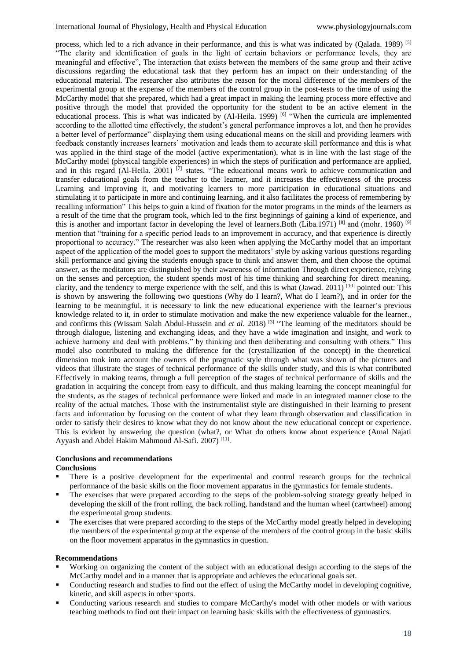process, which led to a rich advance in their performance, and this is what was indicated by (Qalada. 1989) [5] "The clarity and identification of goals in the light of certain behaviors or performance levels, they are meaningful and effective", The interaction that exists between the members of the same group and their active discussions regarding the educational task that they perform has an impact on their understanding of the educational material. The researcher also attributes the reason for the moral difference of the members of the experimental group at the expense of the members of the control group in the post-tests to the time of using the McCarthy model that she prepared, which had a great impact in making the learning process more effective and positive through the model that provided the opportunity for the student to be an active element in the educational process. This is what was indicated by  $(Al-Heila. 1999)$  <sup>[6]</sup> "When the curricula are implemented according to the allotted time effectively, the student's general performance improves a lot, and then he provides a better level of performance" displaying them using educational means on the skill and providing learners with feedback constantly increases learners' motivation and leads them to accurate skill performance and this is what was applied in the third stage of the model (active experimentation), what is in line with the last stage of the McCarthy model (physical tangible experiences) in which the steps of purification and performance are applied, and in this regard (Al-Heila. 2001) <sup>[7]</sup> states, "The educational means work to achieve communication and transfer educational goals from the teacher to the learner, and it increases the effectiveness of the process Learning and improving it, and motivating learners to more participation in educational situations and stimulating it to participate in more and continuing learning, and it also facilitates the process of remembering by recalling information" This helps to gain a kind of fixation for the motor programs in the minds of the learners as a result of the time that the program took, which led to the first beginnings of gaining a kind of experience, and this is another and important factor in developing the level of learners. Both (Liba.1971) [8] and (mohr. 1960) [9] mention that "training for a specific period leads to an improvement in accuracy, and that experience is directly proportional to accuracy." The researcher was also keen when applying the McCarthy model that an important aspect of the application of the model goes to support the meditators' style by asking various questions regarding skill performance and giving the students enough space to think and answer them, and then choose the optimal answer, as the meditators are distinguished by their awareness of information Through direct experience, relying on the senses and perception, the student spends most of his time thinking and searching for direct meaning, clarity, and the tendency to merge experience with the self, and this is what (Jawad. 2011) [10] pointed out: This is shown by answering the following two questions (Why do I learn?, What do I learn?), and in order for the learning to be meaningful, it is necessary to link the new educational experience with the learner's previous knowledge related to it, in order to stimulate motivation and make the new experience valuable for the learner., and confirms this (Wissam Salah Abdul-Hussein and *et al*. 2018) [3] "The learning of the meditators should be through dialogue, listening and exchanging ideas, and they have a wide imagination and insight, and work to achieve harmony and deal with problems." by thinking and then deliberating and consulting with others." This model also contributed to making the difference for the (crystallization of the concept) in the theoretical dimension took into account the owners of the pragmatic style through what was shown of the pictures and videos that illustrate the stages of technical performance of the skills under study, and this is what contributed Effectively in making teams, through a full perception of the stages of technical performance of skills and the gradation in acquiring the concept from easy to difficult, and thus making learning the concept meaningful for the students, as the stages of technical performance were linked and made in an integrated manner close to the reality of the actual matches. Those with the instrumentalist style are distinguished in their learning to present facts and information by focusing on the content of what they learn through observation and classification in order to satisfy their desires to know what they do not know about the new educational concept or experience. This is evident by answering the question (what?, or What do others know about experience (Amal Najati Ayyash and Abdel Hakim Mahmoud Al-Safi. 2007)<sup>[11]</sup>.

### **Conclusions and recommendations**

#### **Conclusions**

- There is a positive development for the experimental and control research groups for the technical performance of the basic skills on the floor movement apparatus in the gymnastics for female students.
- The exercises that were prepared according to the steps of the problem-solving strategy greatly helped in developing the skill of the front rolling, the back rolling, handstand and the human wheel (cartwheel) among the experimental group students.
- The exercises that were prepared according to the steps of the McCarthy model greatly helped in developing the members of the experimental group at the expense of the members of the control group in the basic skills on the floor movement apparatus in the gymnastics in question.

#### **Recommendations**

- Working on organizing the content of the subject with an educational design according to the steps of the McCarthy model and in a manner that is appropriate and achieves the educational goals set.
- Conducting research and studies to find out the effect of using the McCarthy model in developing cognitive, kinetic, and skill aspects in other sports.
- Conducting various research and studies to compare McCarthy's model with other models or with various teaching methods to find out their impact on learning basic skills with the effectiveness of gymnastics.